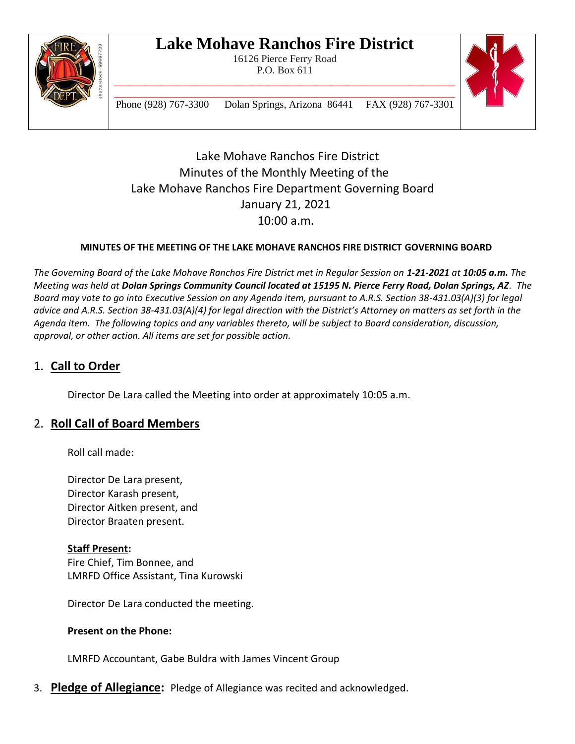

16126 Pierce Ferry Road P.O. Box 611



\_\_\_\_\_\_\_\_\_\_\_\_\_\_\_\_\_\_\_\_\_\_\_\_\_\_\_\_\_\_\_\_\_\_\_\_\_\_\_\_\_\_\_\_\_\_\_\_\_\_\_\_\_\_\_\_\_\_\_\_\_\_\_\_\_\_ Phone (928) 767-3300 Dolan Springs, Arizona 86441 FAX (928) 767-3301

Lake Mohave Ranchos Fire District Minutes of the Monthly Meeting of the Lake Mohave Ranchos Fire Department Governing Board January 21, 2021 10:00 a.m.

#### **MINUTES OF THE MEETING OF THE LAKE MOHAVE RANCHOS FIRE DISTRICT GOVERNING BOARD**

*The Governing Board of the Lake Mohave Ranchos Fire District met in Regular Session on 1-21-2021 at 10:05 a.m. The Meeting was held at Dolan Springs Community Council located at 15195 N. Pierce Ferry Road, Dolan Springs, AZ. The Board may vote to go into Executive Session on any Agenda item, pursuant to A.R.S. Section 38-431.03(A)(3) for legal advice and A.R.S. Section 38-431.03(A)(4) for legal direction with the District's Attorney on matters as set forth in the Agenda item. The following topics and any variables thereto, will be subject to Board consideration, discussion, approval, or other action. All items are set for possible action.*

#### 1. **Call to Order**

Director De Lara called the Meeting into order at approximately 10:05 a.m.

#### 2. **Roll Call of Board Members**

Roll call made:

Director De Lara present, Director Karash present, Director Aitken present, and Director Braaten present.

#### **Staff Present:**

Fire Chief, Tim Bonnee, and LMRFD Office Assistant, Tina Kurowski

Director De Lara conducted the meeting.

#### **Present on the Phone:**

LMRFD Accountant, Gabe Buldra with James Vincent Group

3. **Pledge of Allegiance:** Pledge of Allegiance was recited and acknowledged.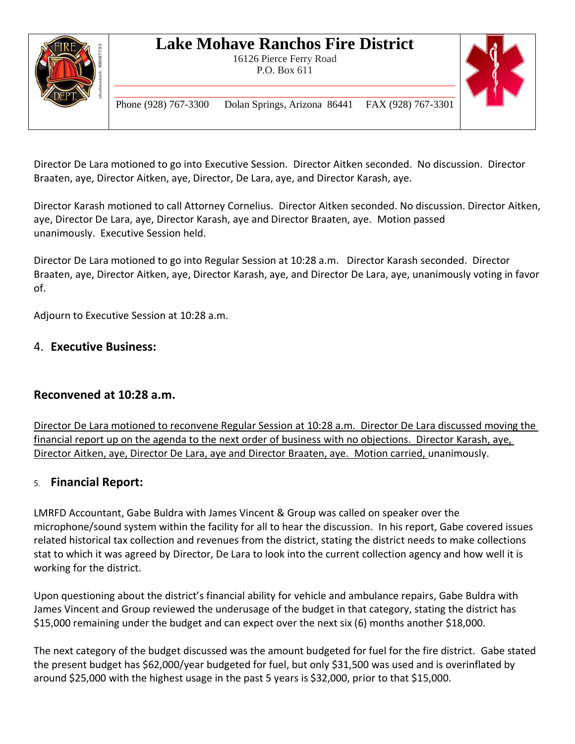

16126 Pierce Ferry Road P.O. Box 611 \_\_\_\_\_\_\_\_\_\_\_\_\_\_\_\_\_\_\_\_\_\_\_\_\_\_\_\_\_\_\_\_\_\_\_\_\_\_\_\_\_\_\_\_\_\_\_\_\_\_\_\_\_\_\_\_\_\_\_\_\_\_\_\_\_\_



\_\_\_\_\_\_\_\_\_\_\_\_\_\_\_\_\_\_\_\_\_\_\_\_\_\_\_\_\_\_\_\_\_\_\_\_\_\_\_\_\_\_\_\_\_\_\_\_\_\_\_\_\_\_\_\_\_\_\_\_\_\_\_\_\_\_ Phone (928) 767-3300 Dolan Springs, Arizona 86441 FAX (928) 767-3301

Director De Lara motioned to go into Executive Session. Director Aitken seconded. No discussion. Director Braaten, aye, Director Aitken, aye, Director, De Lara, aye, and Director Karash, aye.

Director Karash motioned to call Attorney Cornelius. Director Aitken seconded. No discussion. Director Aitken, aye, Director De Lara, aye, Director Karash, aye and Director Braaten, aye. Motion passed unanimously. Executive Session held.

Director De Lara motioned to go into Regular Session at 10:28 a.m. Director Karash seconded. Director Braaten, aye, Director Aitken, aye, Director Karash, aye, and Director De Lara, aye, unanimously voting in favor of.

Adjourn to Executive Session at 10:28 a.m.

#### 4. **Executive Business:**

#### **Reconvened at 10:28 a.m.**

Director De Lara motioned to reconvene Regular Session at 10:28 a.m. Director De Lara discussed moving the financial report up on the agenda to the next order of business with no objections. Director Karash, aye, Director Aitken, aye, Director De Lara, aye and Director Braaten, aye. Motion carried, unanimously.

#### 5. **Financial Report:**

LMRFD Accountant, Gabe Buldra with James Vincent & Group was called on speaker over the microphone/sound system within the facility for all to hear the discussion. In his report, Gabe covered issues related historical tax collection and revenues from the district, stating the district needs to make collections stat to which it was agreed by Director, De Lara to look into the current collection agency and how well it is working for the district.

Upon questioning about the district's financial ability for vehicle and ambulance repairs, Gabe Buldra with James Vincent and Group reviewed the underusage of the budget in that category, stating the district has \$15,000 remaining under the budget and can expect over the next six (6) months another \$18,000.

The next category of the budget discussed was the amount budgeted for fuel for the fire district. Gabe stated the present budget has \$62,000/year budgeted for fuel, but only \$31,500 was used and is overinflated by around \$25,000 with the highest usage in the past 5 years is \$32,000, prior to that \$15,000.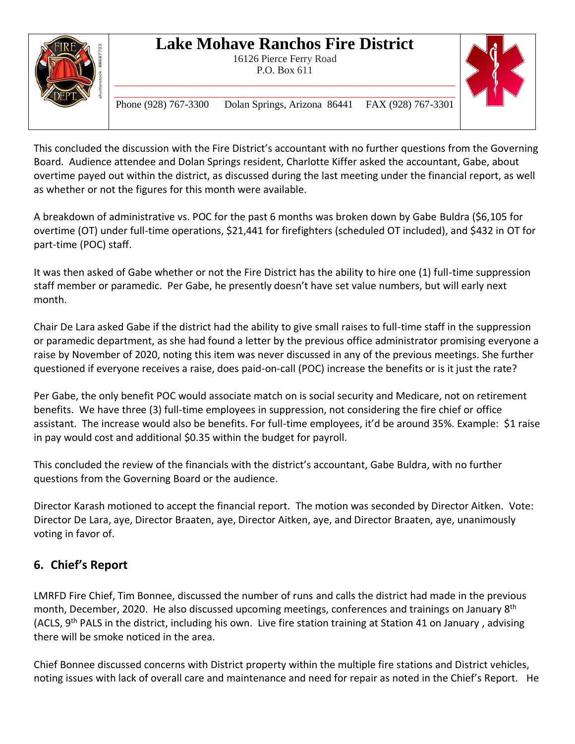

16126 Pierce Ferry Road P.O. Box 611 \_\_\_\_\_\_\_\_\_\_\_\_\_\_\_\_\_\_\_\_\_\_\_\_\_\_\_\_\_\_\_\_\_\_\_\_\_\_\_\_\_\_\_\_\_\_\_\_\_\_\_\_\_\_\_\_\_\_\_\_\_\_\_\_\_\_



\_\_\_\_\_\_\_\_\_\_\_\_\_\_\_\_\_\_\_\_\_\_\_\_\_\_\_\_\_\_\_\_\_\_\_\_\_\_\_\_\_\_\_\_\_\_\_\_\_\_\_\_\_\_\_\_\_\_\_\_\_\_\_\_\_\_ Phone (928) 767-3300 Dolan Springs, Arizona 86441 FAX (928) 767-3301

This concluded the discussion with the Fire District's accountant with no further questions from the Governing Board. Audience attendee and Dolan Springs resident, Charlotte Kiffer asked the accountant, Gabe, about overtime payed out within the district, as discussed during the last meeting under the financial report, as well as whether or not the figures for this month were available.

A breakdown of administrative vs. POC for the past 6 months was broken down by Gabe Buldra (\$6,105 for overtime (OT) under full-time operations, \$21,441 for firefighters (scheduled OT included), and \$432 in OT for part-time (POC) staff.

It was then asked of Gabe whether or not the Fire District has the ability to hire one (1) full-time suppression staff member or paramedic. Per Gabe, he presently doesn't have set value numbers, but will early next month.

Chair De Lara asked Gabe if the district had the ability to give small raises to full-time staff in the suppression or paramedic department, as she had found a letter by the previous office administrator promising everyone a raise by November of 2020, noting this item was never discussed in any of the previous meetings. She further questioned if everyone receives a raise, does paid-on-call (POC) increase the benefits or is it just the rate?

Per Gabe, the only benefit POC would associate match on is social security and Medicare, not on retirement benefits. We have three (3) full-time employees in suppression, not considering the fire chief or office assistant. The increase would also be benefits. For full-time employees, it'd be around 35%. Example: \$1 raise in pay would cost and additional \$0.35 within the budget for payroll.

This concluded the review of the financials with the district's accountant, Gabe Buldra, with no further questions from the Governing Board or the audience.

Director Karash motioned to accept the financial report. The motion was seconded by Director Aitken. Vote: Director De Lara, aye, Director Braaten, aye, Director Aitken, aye, and Director Braaten, aye, unanimously voting in favor of.

### **6. Chief's Report**

LMRFD Fire Chief, Tim Bonnee, discussed the number of runs and calls the district had made in the previous month, December, 2020. He also discussed upcoming meetings, conferences and trainings on January 8<sup>th</sup> (ACLS, 9<sup>th</sup> PALS in the district, including his own. Live fire station training at Station 41 on January, advising there will be smoke noticed in the area.

Chief Bonnee discussed concerns with District property within the multiple fire stations and District vehicles, noting issues with lack of overall care and maintenance and need for repair as noted in the Chief's Report. He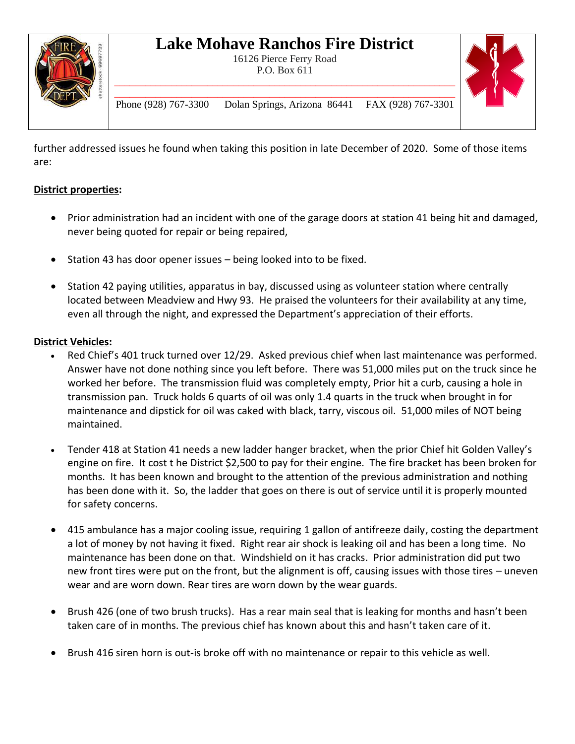

16126 Pierce Ferry Road P.O. Box 611 \_\_\_\_\_\_\_\_\_\_\_\_\_\_\_\_\_\_\_\_\_\_\_\_\_\_\_\_\_\_\_\_\_\_\_\_\_\_\_\_\_\_\_\_\_\_\_\_\_\_\_\_\_\_\_\_\_\_\_\_\_\_\_\_\_\_



\_\_\_\_\_\_\_\_\_\_\_\_\_\_\_\_\_\_\_\_\_\_\_\_\_\_\_\_\_\_\_\_\_\_\_\_\_\_\_\_\_\_\_\_\_\_\_\_\_\_\_\_\_\_\_\_\_\_\_\_\_\_\_\_\_\_ Phone (928) 767-3300 Dolan Springs, Arizona 86441 FAX (928) 767-3301

further addressed issues he found when taking this position in late December of 2020. Some of those items are:

#### **District properties:**

- Prior administration had an incident with one of the garage doors at station 41 being hit and damaged, never being quoted for repair or being repaired,
- Station 43 has door opener issues being looked into to be fixed.
- Station 42 paying utilities, apparatus in bay, discussed using as volunteer station where centrally located between Meadview and Hwy 93. He praised the volunteers for their availability at any time, even all through the night, and expressed the Department's appreciation of their efforts.

#### **District Vehicles:**

- Red Chief's 401 truck turned over 12/29. Asked previous chief when last maintenance was performed. Answer have not done nothing since you left before. There was 51,000 miles put on the truck since he worked her before. The transmission fluid was completely empty, Prior hit a curb, causing a hole in transmission pan. Truck holds 6 quarts of oil was only 1.4 quarts in the truck when brought in for maintenance and dipstick for oil was caked with black, tarry, viscous oil. 51,000 miles of NOT being maintained.
- Tender 418 at Station 41 needs a new ladder hanger bracket, when the prior Chief hit Golden Valley's engine on fire. It cost t he District \$2,500 to pay for their engine. The fire bracket has been broken for months. It has been known and brought to the attention of the previous administration and nothing has been done with it. So, the ladder that goes on there is out of service until it is properly mounted for safety concerns.
- 415 ambulance has a major cooling issue, requiring 1 gallon of antifreeze daily, costing the department a lot of money by not having it fixed. Right rear air shock is leaking oil and has been a long time. No maintenance has been done on that. Windshield on it has cracks. Prior administration did put two new front tires were put on the front, but the alignment is off, causing issues with those tires – uneven wear and are worn down. Rear tires are worn down by the wear guards.
- Brush 426 (one of two brush trucks). Has a rear main seal that is leaking for months and hasn't been taken care of in months. The previous chief has known about this and hasn't taken care of it.
- Brush 416 siren horn is out-is broke off with no maintenance or repair to this vehicle as well.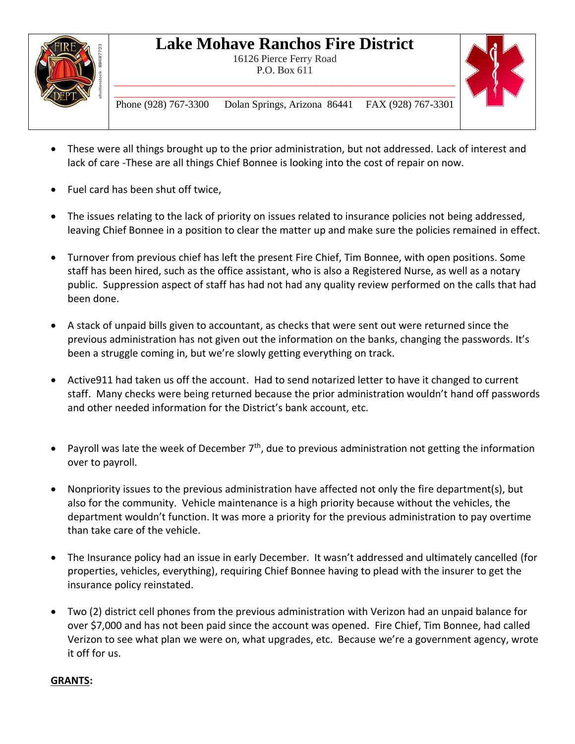

16126 Pierce Ferry Road P.O. Box 611 \_\_\_\_\_\_\_\_\_\_\_\_\_\_\_\_\_\_\_\_\_\_\_\_\_\_\_\_\_\_\_\_\_\_\_\_\_\_\_\_\_\_\_\_\_\_\_\_\_\_\_\_\_\_\_\_\_\_\_\_\_\_\_\_\_\_



\_\_\_\_\_\_\_\_\_\_\_\_\_\_\_\_\_\_\_\_\_\_\_\_\_\_\_\_\_\_\_\_\_\_\_\_\_\_\_\_\_\_\_\_\_\_\_\_\_\_\_\_\_\_\_\_\_\_\_\_\_\_\_\_\_\_ Phone (928) 767-3300 Dolan Springs, Arizona 86441 FAX (928) 767-3301

- These were all things brought up to the prior administration, but not addressed. Lack of interest and lack of care -These are all things Chief Bonnee is looking into the cost of repair on now.
- Fuel card has been shut off twice,
- The issues relating to the lack of priority on issues related to insurance policies not being addressed, leaving Chief Bonnee in a position to clear the matter up and make sure the policies remained in effect.
- Turnover from previous chief has left the present Fire Chief, Tim Bonnee, with open positions. Some staff has been hired, such as the office assistant, who is also a Registered Nurse, as well as a notary public. Suppression aspect of staff has had not had any quality review performed on the calls that had been done.
- A stack of unpaid bills given to accountant, as checks that were sent out were returned since the previous administration has not given out the information on the banks, changing the passwords. It's been a struggle coming in, but we're slowly getting everything on track.
- Active911 had taken us off the account. Had to send notarized letter to have it changed to current staff. Many checks were being returned because the prior administration wouldn't hand off passwords and other needed information for the District's bank account, etc.
- Payroll was late the week of December  $7<sup>th</sup>$ , due to previous administration not getting the information over to payroll.
- Nonpriority issues to the previous administration have affected not only the fire department(s), but also for the community. Vehicle maintenance is a high priority because without the vehicles, the department wouldn't function. It was more a priority for the previous administration to pay overtime than take care of the vehicle.
- The Insurance policy had an issue in early December. It wasn't addressed and ultimately cancelled (for properties, vehicles, everything), requiring Chief Bonnee having to plead with the insurer to get the insurance policy reinstated.
- Two (2) district cell phones from the previous administration with Verizon had an unpaid balance for over \$7,000 and has not been paid since the account was opened. Fire Chief, Tim Bonnee, had called Verizon to see what plan we were on, what upgrades, etc. Because we're a government agency, wrote it off for us.

#### **GRANTS:**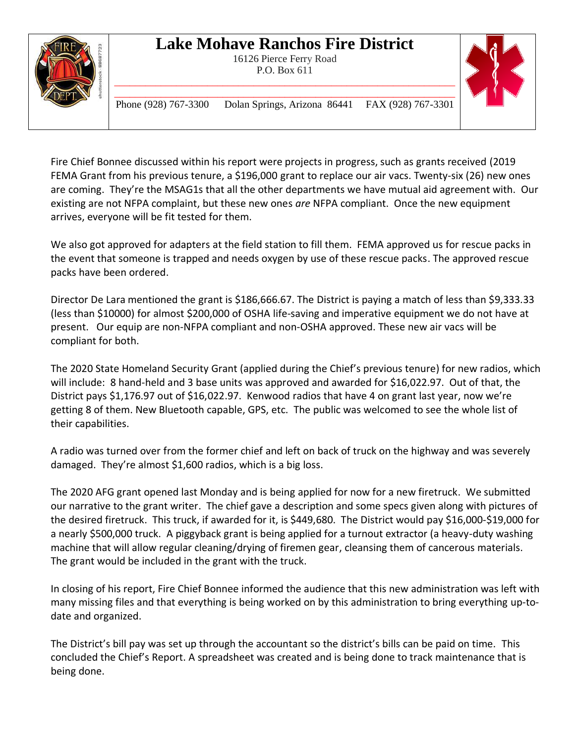



\_\_\_\_\_\_\_\_\_\_\_\_\_\_\_\_\_\_\_\_\_\_\_\_\_\_\_\_\_\_\_\_\_\_\_\_\_\_\_\_\_\_\_\_\_\_\_\_\_\_\_\_\_\_\_\_\_\_\_\_\_\_\_\_\_\_ Phone (928) 767-3300 Dolan Springs, Arizona 86441 FAX (928) 767-3301

Fire Chief Bonnee discussed within his report were projects in progress, such as grants received (2019 FEMA Grant from his previous tenure, a \$196,000 grant to replace our air vacs. Twenty-six (26) new ones are coming. They're the MSAG1s that all the other departments we have mutual aid agreement with. Our existing are not NFPA complaint, but these new ones *are* NFPA compliant. Once the new equipment arrives, everyone will be fit tested for them.

We also got approved for adapters at the field station to fill them. FEMA approved us for rescue packs in the event that someone is trapped and needs oxygen by use of these rescue packs. The approved rescue packs have been ordered.

Director De Lara mentioned the grant is \$186,666.67. The District is paying a match of less than \$9,333.33 (less than \$10000) for almost \$200,000 of OSHA life-saving and imperative equipment we do not have at present. Our equip are non-NFPA compliant and non-OSHA approved. These new air vacs will be compliant for both.

The 2020 State Homeland Security Grant (applied during the Chief's previous tenure) for new radios, which will include: 8 hand-held and 3 base units was approved and awarded for \$16,022.97. Out of that, the District pays \$1,176.97 out of \$16,022.97. Kenwood radios that have 4 on grant last year, now we're getting 8 of them. New Bluetooth capable, GPS, etc. The public was welcomed to see the whole list of their capabilities.

A radio was turned over from the former chief and left on back of truck on the highway and was severely damaged. They're almost \$1,600 radios, which is a big loss.

The 2020 AFG grant opened last Monday and is being applied for now for a new firetruck. We submitted our narrative to the grant writer. The chief gave a description and some specs given along with pictures of the desired firetruck. This truck, if awarded for it, is \$449,680. The District would pay \$16,000-\$19,000 for a nearly \$500,000 truck. A piggyback grant is being applied for a turnout extractor (a heavy-duty washing machine that will allow regular cleaning/drying of firemen gear, cleansing them of cancerous materials. The grant would be included in the grant with the truck.

In closing of his report, Fire Chief Bonnee informed the audience that this new administration was left with many missing files and that everything is being worked on by this administration to bring everything up-todate and organized.

The District's bill pay was set up through the accountant so the district's bills can be paid on time. This concluded the Chief's Report. A spreadsheet was created and is being done to track maintenance that is being done.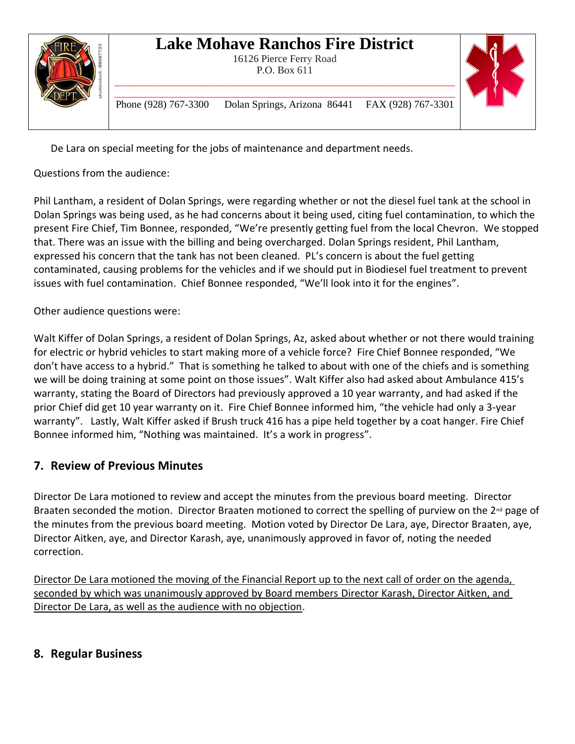16126 Pierce Ferry Road P.O. Box 611 \_\_\_\_\_\_\_\_\_\_\_\_\_\_\_\_\_\_\_\_\_\_\_\_\_\_\_\_\_\_\_\_\_\_\_\_\_\_\_\_\_\_\_\_\_\_\_\_\_\_\_\_\_\_\_\_\_\_\_\_\_\_\_\_\_\_



\_\_\_\_\_\_\_\_\_\_\_\_\_\_\_\_\_\_\_\_\_\_\_\_\_\_\_\_\_\_\_\_\_\_\_\_\_\_\_\_\_\_\_\_\_\_\_\_\_\_\_\_\_\_\_\_\_\_\_\_\_\_\_\_\_\_ Phone (928) 767-3300 Dolan Springs, Arizona 86441 FAX (928) 767-3301

De Lara on special meeting for the jobs of maintenance and department needs.

Questions from the audience:

Phil Lantham, a resident of Dolan Springs, were regarding whether or not the diesel fuel tank at the school in Dolan Springs was being used, as he had concerns about it being used, citing fuel contamination, to which the present Fire Chief, Tim Bonnee, responded, "We're presently getting fuel from the local Chevron. We stopped that. There was an issue with the billing and being overcharged. Dolan Springs resident, Phil Lantham, expressed his concern that the tank has not been cleaned. PL's concern is about the fuel getting contaminated, causing problems for the vehicles and if we should put in Biodiesel fuel treatment to prevent issues with fuel contamination. Chief Bonnee responded, "We'll look into it for the engines".

Other audience questions were:

Walt Kiffer of Dolan Springs, a resident of Dolan Springs, Az, asked about whether or not there would training for electric or hybrid vehicles to start making more of a vehicle force? Fire Chief Bonnee responded, "We don't have access to a hybrid." That is something he talked to about with one of the chiefs and is something we will be doing training at some point on those issues". Walt Kiffer also had asked about Ambulance 415's warranty, stating the Board of Directors had previously approved a 10 year warranty, and had asked if the prior Chief did get 10 year warranty on it. Fire Chief Bonnee informed him, "the vehicle had only a 3-year warranty". Lastly, Walt Kiffer asked if Brush truck 416 has a pipe held together by a coat hanger. Fire Chief Bonnee informed him, "Nothing was maintained. It's a work in progress".

### **7. Review of Previous Minutes**

Director De Lara motioned to review and accept the minutes from the previous board meeting. Director Braaten seconded the motion. Director Braaten motioned to correct the spelling of purview on the 2<sup>nd</sup> page of the minutes from the previous board meeting. Motion voted by Director De Lara, aye, Director Braaten, aye, Director Aitken, aye, and Director Karash, aye, unanimously approved in favor of, noting the needed correction.

Director De Lara motioned the moving of the Financial Report up to the next call of order on the agenda, seconded by which was unanimously approved by Board members Director Karash, Director Aitken, and Director De Lara, as well as the audience with no objection.

### **8. Regular Business**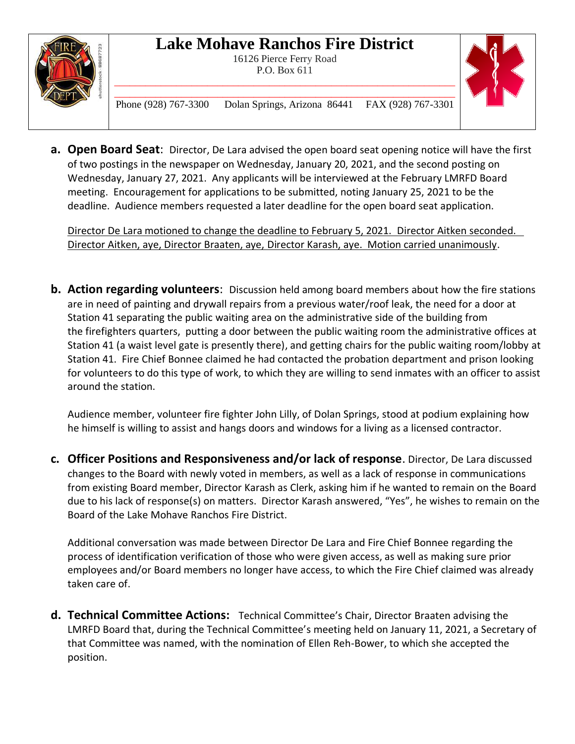

16126 Pierce Ferry Road P.O. Box 611



\_\_\_\_\_\_\_\_\_\_\_\_\_\_\_\_\_\_\_\_\_\_\_\_\_\_\_\_\_\_\_\_\_\_\_\_\_\_\_\_\_\_\_\_\_\_\_\_\_\_\_\_\_\_\_\_\_\_\_\_\_\_\_\_\_\_ Phone (928) 767-3300 Dolan Springs, Arizona 86441 FAX (928) 767-3301

**a. Open Board Seat**: Director, De Lara advised the open board seat opening notice will have the first of two postings in the newspaper on Wednesday, January 20, 2021, and the second posting on Wednesday, January 27, 2021. Any applicants will be interviewed at the February LMRFD Board meeting. Encouragement for applications to be submitted, noting January 25, 2021 to be the deadline. Audience members requested a later deadline for the open board seat application.

Director De Lara motioned to change the deadline to February 5, 2021. Director Aitken seconded. Director Aitken, aye, Director Braaten, aye, Director Karash, aye. Motion carried unanimously.

**b. Action regarding volunteers**: Discussion held among board members about how the fire stations are in need of painting and drywall repairs from a previous water/roof leak, the need for a door at Station 41 separating the public waiting area on the administrative side of the building from the firefighters quarters, putting a door between the public waiting room the administrative offices at Station 41 (a waist level gate is presently there), and getting chairs for the public waiting room/lobby at Station 41. Fire Chief Bonnee claimed he had contacted the probation department and prison looking for volunteers to do this type of work, to which they are willing to send inmates with an officer to assist around the station.

Audience member, volunteer fire fighter John Lilly, of Dolan Springs, stood at podium explaining how he himself is willing to assist and hangs doors and windows for a living as a licensed contractor.

**c. Officer Positions and Responsiveness and/or lack of response**. Director, De Lara discussed changes to the Board with newly voted in members, as well as a lack of response in communications from existing Board member, Director Karash as Clerk, asking him if he wanted to remain on the Board due to his lack of response(s) on matters. Director Karash answered, "Yes", he wishes to remain on the Board of the Lake Mohave Ranchos Fire District.

Additional conversation was made between Director De Lara and Fire Chief Bonnee regarding the process of identification verification of those who were given access, as well as making sure prior employees and/or Board members no longer have access, to which the Fire Chief claimed was already taken care of.

**d. Technical Committee Actions:** Technical Committee's Chair, Director Braaten advising the LMRFD Board that, during the Technical Committee's meeting held on January 11, 2021, a Secretary of that Committee was named, with the nomination of Ellen Reh-Bower, to which she accepted the position.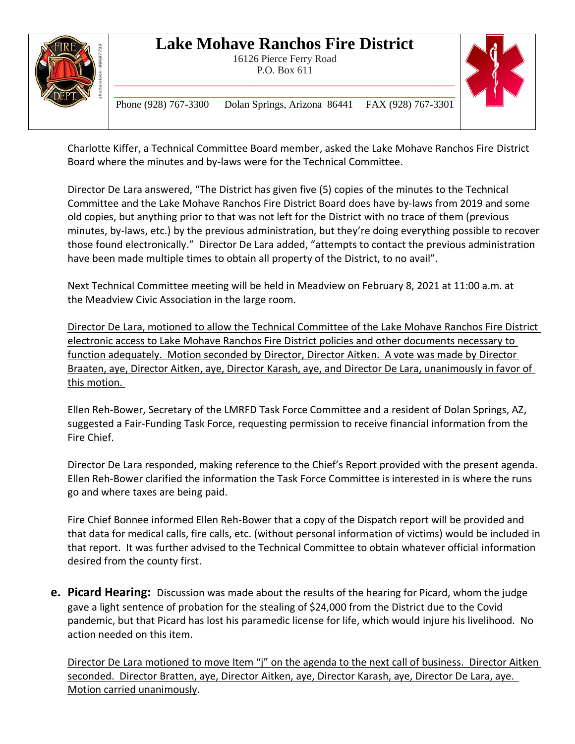

16126 Pierce Ferry Road P.O. Box 611 \_\_\_\_\_\_\_\_\_\_\_\_\_\_\_\_\_\_\_\_\_\_\_\_\_\_\_\_\_\_\_\_\_\_\_\_\_\_\_\_\_\_\_\_\_\_\_\_\_\_\_\_\_\_\_\_\_\_\_\_\_\_\_\_\_\_



\_\_\_\_\_\_\_\_\_\_\_\_\_\_\_\_\_\_\_\_\_\_\_\_\_\_\_\_\_\_\_\_\_\_\_\_\_\_\_\_\_\_\_\_\_\_\_\_\_\_\_\_\_\_\_\_\_\_\_\_\_\_\_\_\_\_ Phone (928) 767-3300 Dolan Springs, Arizona 86441 FAX (928) 767-3301

Charlotte Kiffer, a Technical Committee Board member, asked the Lake Mohave Ranchos Fire District Board where the minutes and by-laws were for the Technical Committee.

Director De Lara answered, "The District has given five (5) copies of the minutes to the Technical Committee and the Lake Mohave Ranchos Fire District Board does have by-laws from 2019 and some old copies, but anything prior to that was not left for the District with no trace of them (previous minutes, by-laws, etc.) by the previous administration, but they're doing everything possible to recover those found electronically." Director De Lara added, "attempts to contact the previous administration have been made multiple times to obtain all property of the District, to no avail".

Next Technical Committee meeting will be held in Meadview on February 8, 2021 at 11:00 a.m. at the Meadview Civic Association in the large room.

Director De Lara, motioned to allow the Technical Committee of the Lake Mohave Ranchos Fire District electronic access to Lake Mohave Ranchos Fire District policies and other documents necessary to function adequately. Motion seconded by Director, Director Aitken. A vote was made by Director Braaten, aye, Director Aitken, aye, Director Karash, aye, and Director De Lara, unanimously in favor of this motion.

Ellen Reh-Bower, Secretary of the LMRFD Task Force Committee and a resident of Dolan Springs, AZ, suggested a Fair-Funding Task Force, requesting permission to receive financial information from the Fire Chief.

Director De Lara responded, making reference to the Chief's Report provided with the present agenda. Ellen Reh-Bower clarified the information the Task Force Committee is interested in is where the runs go and where taxes are being paid.

Fire Chief Bonnee informed Ellen Reh-Bower that a copy of the Dispatch report will be provided and that data for medical calls, fire calls, etc. (without personal information of victims) would be included in that report. It was further advised to the Technical Committee to obtain whatever official information desired from the county first.

**e. Picard Hearing:** Discussion was made about the results of the hearing for Picard, whom the judge gave a light sentence of probation for the stealing of \$24,000 from the District due to the Covid pandemic, but that Picard has lost his paramedic license for life, which would injure his livelihood. No action needed on this item.

Director De Lara motioned to move Item "j" on the agenda to the next call of business. Director Aitken seconded. Director Bratten, aye, Director Aitken, aye, Director Karash, aye, Director De Lara, aye. Motion carried unanimously.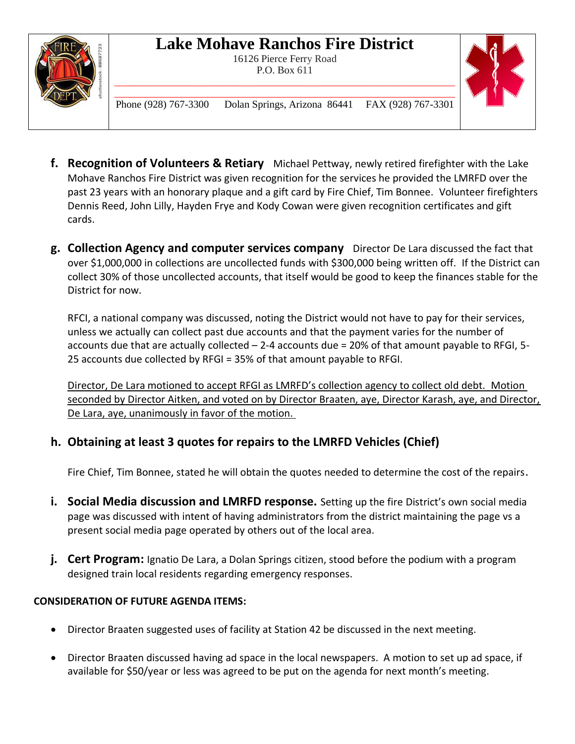

16126 Pierce Ferry Road P.O. Box 611



\_\_\_\_\_\_\_\_\_\_\_\_\_\_\_\_\_\_\_\_\_\_\_\_\_\_\_\_\_\_\_\_\_\_\_\_\_\_\_\_\_\_\_\_\_\_\_\_\_\_\_\_\_\_\_\_\_\_\_\_\_\_\_\_\_\_ Phone (928) 767-3300 Dolan Springs, Arizona 86441 FAX (928) 767-3301

\_\_\_\_\_\_\_\_\_\_\_\_\_\_\_\_\_\_\_\_\_\_\_\_\_\_\_\_\_\_\_\_\_\_\_\_\_\_\_\_\_\_\_\_\_\_\_\_\_\_\_\_\_\_\_\_\_\_\_\_\_\_\_\_\_\_

- **f. Recognition of Volunteers & Retiary** Michael Pettway, newly retired firefighter with the Lake Mohave Ranchos Fire District was given recognition for the services he provided the LMRFD over the past 23 years with an honorary plaque and a gift card by Fire Chief, Tim Bonnee. Volunteer firefighters Dennis Reed, John Lilly, Hayden Frye and Kody Cowan were given recognition certificates and gift cards.
- **g. Collection Agency and computer services company** Director De Lara discussed the fact that over \$1,000,000 in collections are uncollected funds with \$300,000 being written off. If the District can collect 30% of those uncollected accounts, that itself would be good to keep the finances stable for the District for now.

RFCI, a national company was discussed, noting the District would not have to pay for their services, unless we actually can collect past due accounts and that the payment varies for the number of accounts due that are actually collected – 2-4 accounts due = 20% of that amount payable to RFGI, 5- 25 accounts due collected by RFGI = 35% of that amount payable to RFGI.

Director, De Lara motioned to accept RFGI as LMRFD's collection agency to collect old debt. Motion seconded by Director Aitken, and voted on by Director Braaten, aye, Director Karash, aye, and Director, De Lara, aye, unanimously in favor of the motion.

### **h. Obtaining at least 3 quotes for repairs to the LMRFD Vehicles (Chief)**

Fire Chief, Tim Bonnee, stated he will obtain the quotes needed to determine the cost of the repairs.

- **i. Social Media discussion and LMRFD response.** Setting up the fire District's own social media page was discussed with intent of having administrators from the district maintaining the page vs a present social media page operated by others out of the local area.
- **j. Cert Program:** Ignatio De Lara, a Dolan Springs citizen, stood before the podium with a program designed train local residents regarding emergency responses.

### **CONSIDERATION OF FUTURE AGENDA ITEMS:**

- Director Braaten suggested uses of facility at Station 42 be discussed in the next meeting.
- Director Braaten discussed having ad space in the local newspapers. A motion to set up ad space, if available for \$50/year or less was agreed to be put on the agenda for next month's meeting.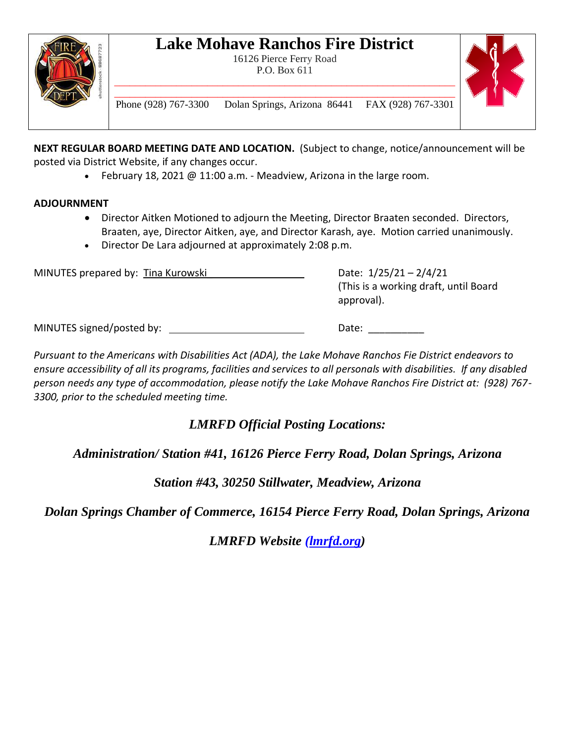

16126 Pierce Ferry Road P.O. Box 611 \_\_\_\_\_\_\_\_\_\_\_\_\_\_\_\_\_\_\_\_\_\_\_\_\_\_\_\_\_\_\_\_\_\_\_\_\_\_\_\_\_\_\_\_\_\_\_\_\_\_\_\_\_\_\_\_\_\_\_\_\_\_\_\_\_\_



\_\_\_\_\_\_\_\_\_\_\_\_\_\_\_\_\_\_\_\_\_\_\_\_\_\_\_\_\_\_\_\_\_\_\_\_\_\_\_\_\_\_\_\_\_\_\_\_\_\_\_\_\_\_\_\_\_\_\_\_\_\_\_\_\_\_ Phone (928) 767-3300 Dolan Springs, Arizona 86441 FAX (928) 767-3301

**NEXT REGULAR BOARD MEETING DATE AND LOCATION.** (Subject to change, notice/announcement will be posted via District Website, if any changes occur.

• February 18, 2021 @ 11:00 a.m. - Meadview, Arizona in the large room.

#### **ADJOURNMENT**

- Director Aitken Motioned to adjourn the Meeting, Director Braaten seconded. Directors, Braaten, aye, Director Aitken, aye, and Director Karash, aye. Motion carried unanimously.
- Director De Lara adjourned at approximately 2:08 p.m.

| MINUTES prepared by: Tina Kurowski | Date: $1/25/21 - 2/4/21$<br>(This is a working draft, until Board)<br>approval). |
|------------------------------------|----------------------------------------------------------------------------------|
| MINUTES signed/posted by:          | Date:                                                                            |

*Pursuant to the Americans with Disabilities Act (ADA), the Lake Mohave Ranchos Fie District endeavors to ensure accessibility of all its programs, facilities and services to all personals with disabilities. If any disabled person needs any type of accommodation, please notify the Lake Mohave Ranchos Fire District at: (928) 767- 3300, prior to the scheduled meeting time.*

*LMRFD Official Posting Locations:*

*Administration/ Station #41, 16126 Pierce Ferry Road, Dolan Springs, Arizona*

*Station #43, 30250 Stillwater, Meadview, Arizona*

*Dolan Springs Chamber of Commerce, 16154 Pierce Ferry Road, Dolan Springs, Arizona*

*LMRFD Website (lmrfd.org)*